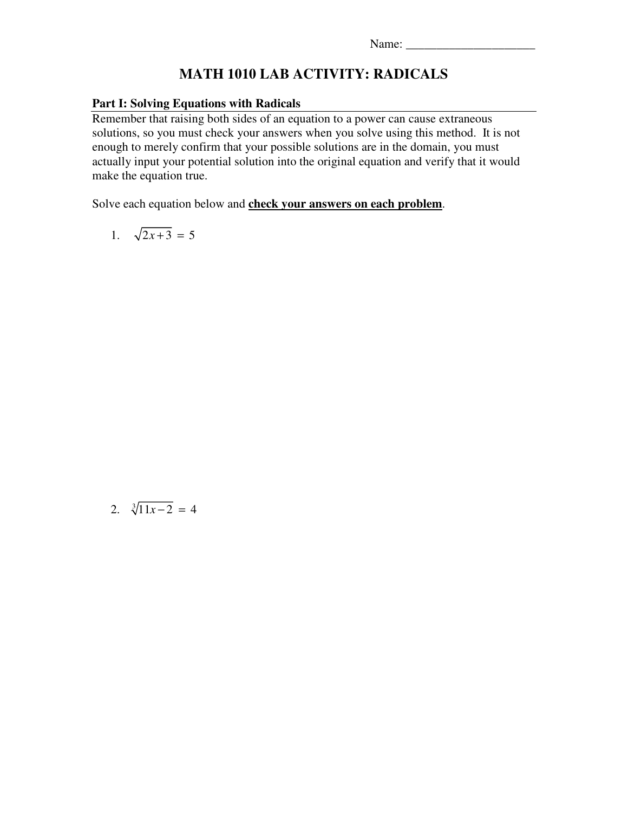## **MATH 1010 LAB ACTIVITY: RADICALS**

## **Part I: Solving Equations with Radicals**

Remember that raising both sides of an equation to a power can cause extraneous solutions, so you must check your answers when you solve using this method. It is not enough to merely confirm that your possible solutions are in the domain, you must actually input your potential solution into the original equation and verify that it would make the equation true.

Solve each equation below and **check your answers on each problem**.

$$
1. \quad \sqrt{2x+3} = 5
$$

2.  $\sqrt[3]{11x-2} = 4$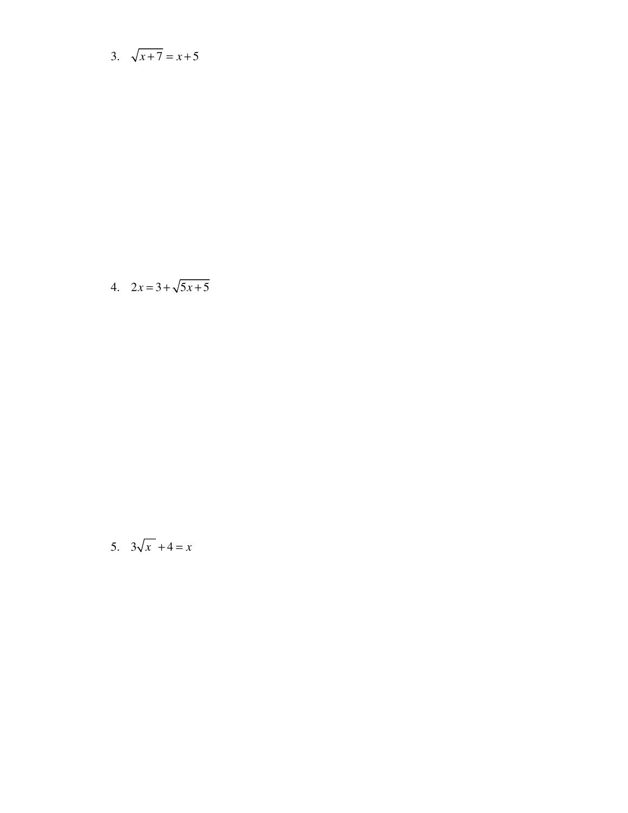3.  $\sqrt{x+7} = x+5$ 

4.  $2x = 3 + \sqrt{5x + 5}$ 

$$
5. \quad 3\sqrt{x} + 4 = x
$$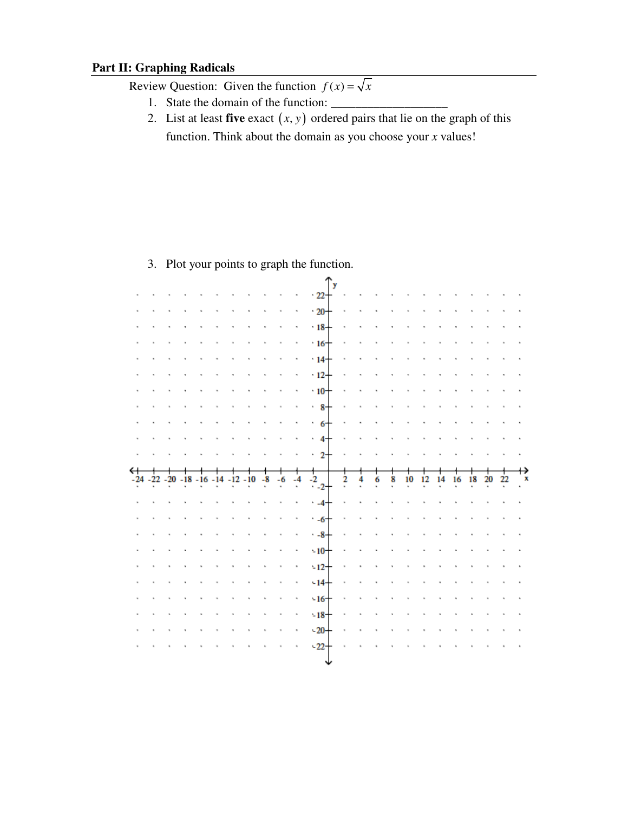## **Part II: Graphing Radicals**

Review Question: Given the function  $f(x) = \sqrt{x}$ 

- 1. State the domain of the function:
- 2. List at least **five** exact  $(x, y)$  ordered pairs that lie on the graph of this function. Think about the domain as you choose your *x* values!

|                                          |  |  |  |      |    |      | y                           |   |   |   |   |    |    |    |    |    |    |    |   |
|------------------------------------------|--|--|--|------|----|------|-----------------------------|---|---|---|---|----|----|----|----|----|----|----|---|
|                                          |  |  |  |      |    |      | $-22$                       |   |   |   |   |    |    |    |    |    |    |    |   |
|                                          |  |  |  |      |    |      | $-20$                       |   |   |   |   |    |    |    |    |    |    |    |   |
|                                          |  |  |  |      |    |      | $-18-$                      |   |   |   |   |    |    |    |    |    |    |    |   |
|                                          |  |  |  |      |    |      | $-16$                       |   |   |   |   |    |    |    |    |    |    |    |   |
|                                          |  |  |  |      |    |      | $14 -$                      |   |   |   |   |    |    |    |    |    |    |    |   |
|                                          |  |  |  |      |    |      | $-12$                       |   |   |   |   |    |    |    |    |    |    |    |   |
|                                          |  |  |  |      |    |      | $\cdot$ 10-                 |   |   |   |   |    |    |    |    |    |    |    |   |
|                                          |  |  |  |      |    |      | .8                          |   |   |   |   |    |    |    |    |    |    |    |   |
|                                          |  |  |  |      |    |      | .6                          |   |   |   |   |    |    |    |    |    |    |    |   |
|                                          |  |  |  |      |    |      | .4                          |   |   |   |   |    |    |    |    |    |    |    |   |
|                                          |  |  |  |      |    |      | -2<br>a.                    |   |   |   |   |    |    |    |    |    |    |    |   |
|                                          |  |  |  |      |    |      |                             |   |   |   |   |    |    |    |    |    |    |    |   |
| ↤                                        |  |  |  |      |    |      |                             |   |   |   |   |    |    |    |    |    |    |    |   |
| $-24 - 22 - 20 - 18 - 16 - 14 - 12 - 10$ |  |  |  | $-8$ | -6 | $-4$ |                             | 2 | 4 | 6 | 8 | 10 | 12 | 14 | 16 | 18 | 20 | 22 | х |
|                                          |  |  |  |      |    |      | $\frac{1}{2}$ <sub>21</sub> |   |   |   |   |    |    |    |    |    |    |    |   |
|                                          |  |  |  |      |    |      | $-4$                        |   |   |   |   |    |    |    |    |    |    |    |   |
|                                          |  |  |  |      |    |      | $-6$                        |   |   |   |   |    |    |    |    |    |    |    |   |
|                                          |  |  |  |      |    |      | $-8$                        |   |   |   |   |    |    |    |    |    |    |    |   |
|                                          |  |  |  |      |    |      | $-10$                       |   |   |   |   |    |    |    |    |    |    |    |   |
|                                          |  |  |  |      |    |      | $-12$                       |   |   |   |   |    |    |    |    |    |    |    |   |
|                                          |  |  |  |      |    |      | $-14$                       |   |   |   |   |    |    |    |    |    |    |    |   |
|                                          |  |  |  |      |    |      | $-16$                       |   |   |   |   |    |    |    |    |    |    |    |   |
|                                          |  |  |  |      |    |      | $-18$<br>$-20$              |   |   |   |   |    |    |    |    |    |    |    |   |
|                                          |  |  |  |      |    |      | $-22$                       |   |   |   |   |    |    |    |    |    |    |    |   |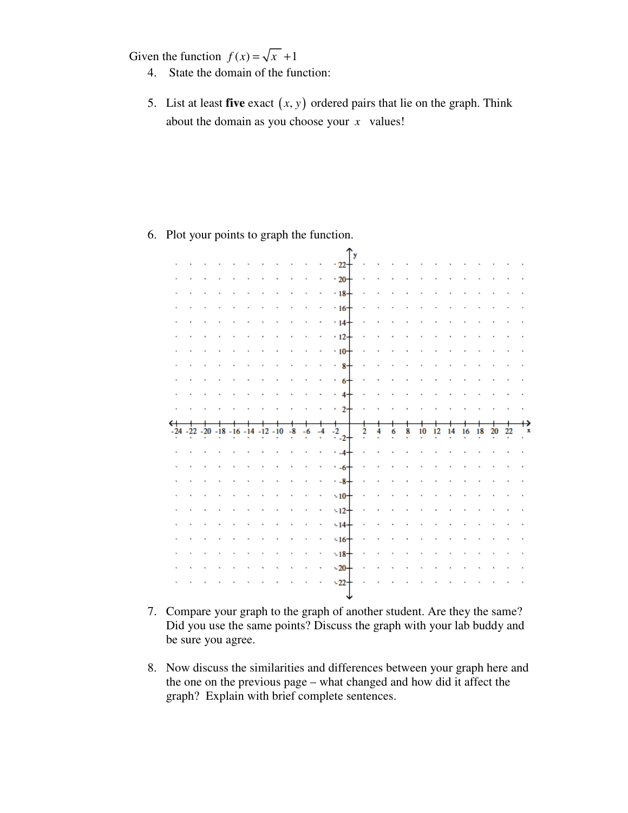Given the function  $f(x) = \sqrt{x^2 + 1}$ 

- 4. State the domain of the function:
- 5. List at least **five** exact  $(x, y)$  ordered pairs that lie on the graph. Think about the domain as you choose your *x* values!

- $\frac{1}{22}$ J.  $\cdot$  20 + J.  $\mathcal{L}_{\mathcal{A}}$  $\mathcal{L}$  $\ddot{\phantom{a}}$ l, ÷. ÷.  $-18-$ ÷.  $\cdot 16+$  $\cdot$  14- $\cdot$  12- $\cdot$  10<sup> $+$ </sup>  $\cdot$  8  $\cdot$  6  $\cdot$  4 t.  $\overline{2}$  $\frac{1}{2}$ <sub>-2</sub>  $-24 - 22 - 20 - 18 - 16 - 14$  $-12$  $-10$  $-8$  $-6$  $-4$  $\overline{2}$ 4  $10 \t 12$ 14 20 6 8 16 18  $-4$  $\cdot -6$  $-8$  $-10 -12$  $-14 -16 -18$  $-20 -22$ **Contract Contract**
- 6. Plot your points to graph the function.

- 7. Compare your graph to the graph of another student. Are they the same? Did you use the same points? Discuss the graph with your lab buddy and be sure you agree.
- 8. Now discuss the similarities and differences between your graph here and the one on the previous page – what changed and how did it affect the graph? Explain with brief complete sentences.